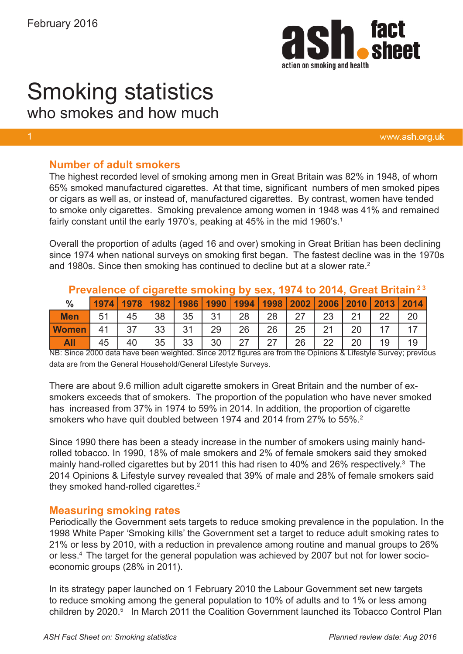

# Smoking statistics

who smokes and how much

www.ash.org.uk

# **Number of adult smokers**

The highest recorded level of smoking among men in Great Britain was 82% in 1948, of whom 65% smoked manufactured cigarettes. At that time, significant numbers of men smoked pipes or cigars as well as, or instead of, manufactured cigarettes. By contrast, women have tended to smoke only cigarettes. Smoking prevalence among women in 1948 was 41% and remained fairly constant until the early 1970's, peaking at 45% in the mid 1960's.<sup>1</sup>

Overall the proportion of adults (aged 16 and over) smoking in Great Britian has been declining since 1974 when national surveys on smoking first began. The fastest decline was in the 1970s and 1980s. Since then smoking has continued to decline but at a slower rate.<sup>2</sup>

| Prevalence of cigarette smoking by sex, 1974 to 2014, Great Britain <sup>23</sup> |      |    |                    |    |      |    |    |    |    |                                                |    |    |
|-----------------------------------------------------------------------------------|------|----|--------------------|----|------|----|----|----|----|------------------------------------------------|----|----|
| $\frac{0}{0}$                                                                     | 1974 |    | 1978   1982   1986 |    | 1990 |    |    |    |    | 1994   1998   2002   2006   2010   2013   2014 |    |    |
| <b>Men</b>                                                                        |      | 45 | 38                 | 35 | 31   | 28 | 28 | つフ | 23 | 21                                             | 22 | 20 |
| <b>Women</b>                                                                      |      |    | 33                 | 31 | 29   | 26 | 26 | 25 | 21 | 20                                             |    |    |
| All                                                                               |      | 40 | 35                 | 33 | 30   | つフ | 27 | 26 | つつ | 20                                             | 19 |    |

NB: Since 2000 data have been weighted. Since 2012 figures are from the Opinions & Lifestyle Survey; previous data are from the General Household/General Lifestyle Surveys.

There are about 9.6 million adult cigarette smokers in Great Britain and the number of exsmokers exceeds that of smokers. The proportion of the population who have never smoked has increased from 37% in 1974 to 59% in 2014. In addition, the proportion of cigarette smokers who have quit doubled between 1974 and 2014 from 27% to 55%.<sup>2</sup>

Since 1990 there has been a steady increase in the number of smokers using mainly handrolled tobacco. In 1990, 18% of male smokers and 2% of female smokers said they smoked mainly hand-rolled cigarettes but by 2011 this had risen to 40% and 26% respectively.<sup>3</sup> The 2014 Opinions & Lifestyle survey revealed that 39% of male and 28% of female smokers said they smoked hand-rolled cigarettes. $2$ 

## **Measuring smoking rates**

Periodically the Government sets targets to reduce smoking prevalence in the population. In the 1998 White Paper 'Smoking kills' the Government set a target to reduce adult smoking rates to 21% or less by 2010, with a reduction in prevalence among routine and manual groups to 26% or less.4 The target for the general population was achieved by 2007 but not for lower socioeconomic groups (28% in 2011).

In its strategy paper launched on 1 February 2010 the Labour Government set new targets to reduce smoking among the general population to 10% of adults and to 1% or less among children by 2020.<sup>5</sup> In March 2011 the Coalition Government launched its Tobacco Control Plan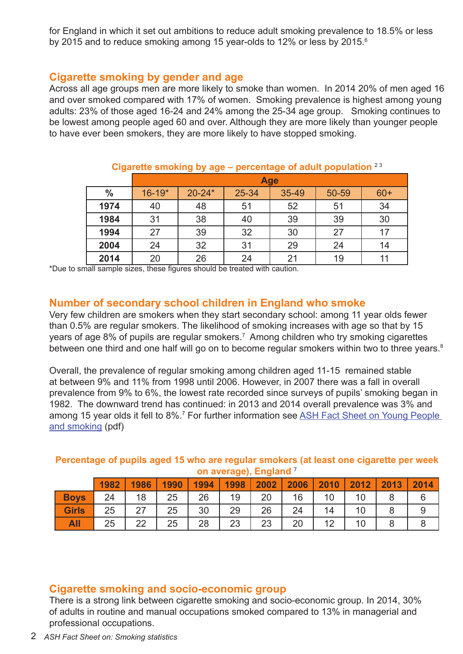for England in which it set out ambitions to reduce adult smoking prevalence to 18.5% or less by 2015 and to reduce smoking among 15 year-olds to 12% or less by 2015.<sup>6</sup>

# **Cigarette smoking by gender and age**

Across all age groups men are more likely to smoke than women. In 2014 20% of men aged 16 and over smoked compared with 17% of women. Smoking prevalence is highest among young adults: 23% of those aged 16-24 and 24% among the 25-34 age group. Smoking continues to be lowest among people aged 60 and over. Although they are more likely than younger people to have ever been smokers, they are more likely to have stopped smoking.

|               | <b>Age</b> |            |       |       |       |       |  |  |  |  |  |
|---------------|------------|------------|-------|-------|-------|-------|--|--|--|--|--|
| $\frac{0}{0}$ | $16 - 19*$ | $20 - 24*$ | 25-34 | 35-49 | 50-59 | $60+$ |  |  |  |  |  |
| 1974          | 40         | 48         | 51    | 52    | 51    | 34    |  |  |  |  |  |
| 1984          | 31         | 38         | 40    | 39    | 39    | 30    |  |  |  |  |  |
| 1994          | 27         | 39         | 32    | 30    | 27    | 17    |  |  |  |  |  |
| 2004          | 24         | 32         | 31    | 29    | 24    | 14    |  |  |  |  |  |
| 2014          | 20         | 26         | 24    | 21    | 19    | 11    |  |  |  |  |  |

#### Cigarette smoking by age – percentage of adult population<sup>23</sup>

\*Due to small sample sizes, these figures should be treated with caution.

# **Number of secondary school children in England who smoke**

Very few children are smokers when they start secondary school: among 11 year olds fewer than 0.5% are regular smokers. The likelihood of smoking increases with age so that by 15 years of age 8% of pupils are regular smokers.<sup>7</sup> Among children who try smoking cigarettes between one third and one half will go on to become regular smokers within two to three years.<sup>8</sup>

Overall, the prevalence of regular smoking among children aged 11-15 remained stable at between 9% and 11% from 1998 until 2006. However, in 2007 there was a fall in overall prevalence from 9% to 6%, the lowest rate recorded since surveys of pupils' smoking began in 1982. The downward trend has continued: in 2013 and 2014 overall prevalence was 3% and among 15 year olds it fell to 8%.<sup>7</sup> For further information see ASH Fact Sheet on Young People [and smoking](http://www.ash.org.uk/files/documents/ASH_108.pdf) (pdf)

#### **Percentage of pupils aged 15 who are regular smokers (at least one cigarette per week on average), England** <sup>7</sup>

|              | 1982 | 1986 | 1990 | 1994 | 1998     | 2002     | 2006 | 2010    | 2012 | 2013 | 2014 |
|--------------|------|------|------|------|----------|----------|------|---------|------|------|------|
| <b>Boys</b>  | 24   | 18   | 25   | 26   | 19       | 20       | 16   | 10      | 10   |      |      |
| <b>Girls</b> | 25   | 27   | 25   | 30   | 29       | 26       | 24   | 14      | 10   | O    |      |
| All          | 25   | つつ   | 25   | 28   | າາ<br>ں∠ | າາ<br>⊂ب | 20   | 12<br>╺ |      |      |      |

# **Cigarette smoking and socio-economic group**

There is a strong link between cigarette smoking and socio-economic group. In 2014, 30% of adults in routine and manual occupations smoked compared to 13% in managerial and professional occupations.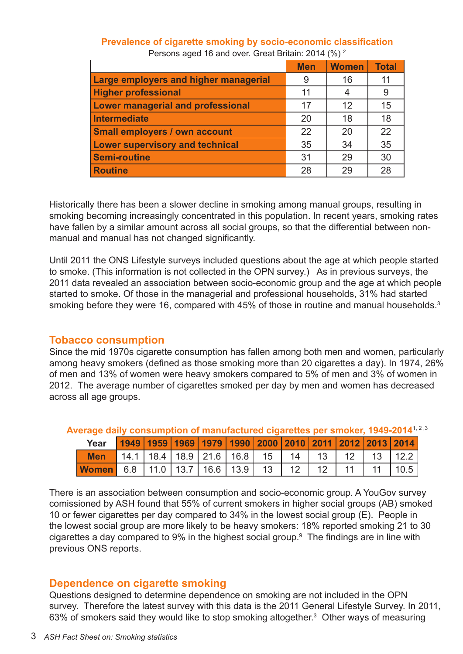| Prevalence of cigarette smoking by socio-economic classification |
|------------------------------------------------------------------|
| Persons aged 16 and over. Great Britain: 2014 (%) <sup>2</sup>   |

|                                          | <b>Men</b> | <b>Women</b> | <b>Total</b> |
|------------------------------------------|------------|--------------|--------------|
| Large employers and higher managerial    | 9          | 16           | 11           |
| <b>Higher professional</b>               | 11         |              | 9            |
| <b>Lower managerial and professional</b> | 17         | 12           | 15           |
| <b>Intermediate</b>                      | 20         | 18           | 18           |
| <b>Small employers / own account</b>     | 22         | 20           | 22           |
| <b>Lower supervisory and technical</b>   | 35         | 34           | 35           |
| <b>Semi-routine</b>                      | 31         | 29           | 30           |
| <b>Routine</b>                           | 28         | 29           | 28           |

Historically there has been a slower decline in smoking among manual groups, resulting in smoking becoming increasingly concentrated in this population. In recent years, smoking rates have fallen by a similar amount across all social groups, so that the differential between nonmanual and manual has not changed significantly.

Until 2011 the ONS Lifestyle surveys included questions about the age at which people started to smoke. (This information is not collected in the OPN survey.) As in previous surveys, the 2011 data revealed an association between socio-economic group and the age at which people started to smoke. Of those in the managerial and professional households, 31% had started smoking before they were 16, compared with 45% of those in routine and manual households.<sup>3</sup>

#### **Tobacco consumption**

Since the mid 1970s cigarette consumption has fallen among both men and women, particularly among heavy smokers (defined as those smoking more than 20 cigarettes a day). In 1974, 26% of men and 13% of women were heavy smokers compared to 5% of men and 3% of women in 2012. The average number of cigarettes smoked per day by men and women has decreased across all age groups.

| Year       |  | 1949   1959   1969   1979   1990   2000   2010   2011   2012   2013   2014 |  |                 |  |              |
|------------|--|----------------------------------------------------------------------------|--|-----------------|--|--------------|
| <b>Men</b> |  | 14.1   18.4   18.9   21.6   16.8   15   14   13   12   13   12.2           |  |                 |  |              |
| Women      |  | $6.8$   11.0   13.7   16.6   13.9   13                                     |  | 12 <sub>1</sub> |  | $\vert$ 10.5 |

Average daily consumption of manufactured cigarettes per smoker, 1949-2014<sup>1, 2,3</sup>

There is an association between consumption and socio-economic group. A YouGov survey comissioned by ASH found that 55% of current smokers in higher social groups (AB) smoked 10 or fewer cigarettes per day compared to 34% in the lowest social group (E). People in the lowest social group are more likely to be heavy smokers: 18% reported smoking 21 to 30 cigarettes a day compared to 9% in the highest social group.<sup>9</sup> The findings are in line with previous ONS reports.

## **Dependence on cigarette smoking**

Questions designed to determine dependence on smoking are not included in the OPN survey. Therefore the latest survey with this data is the 2011 General Lifestyle Survey. In 2011, 63% of smokers said they would like to stop smoking altogether.<sup>3</sup> Other ways of measuring